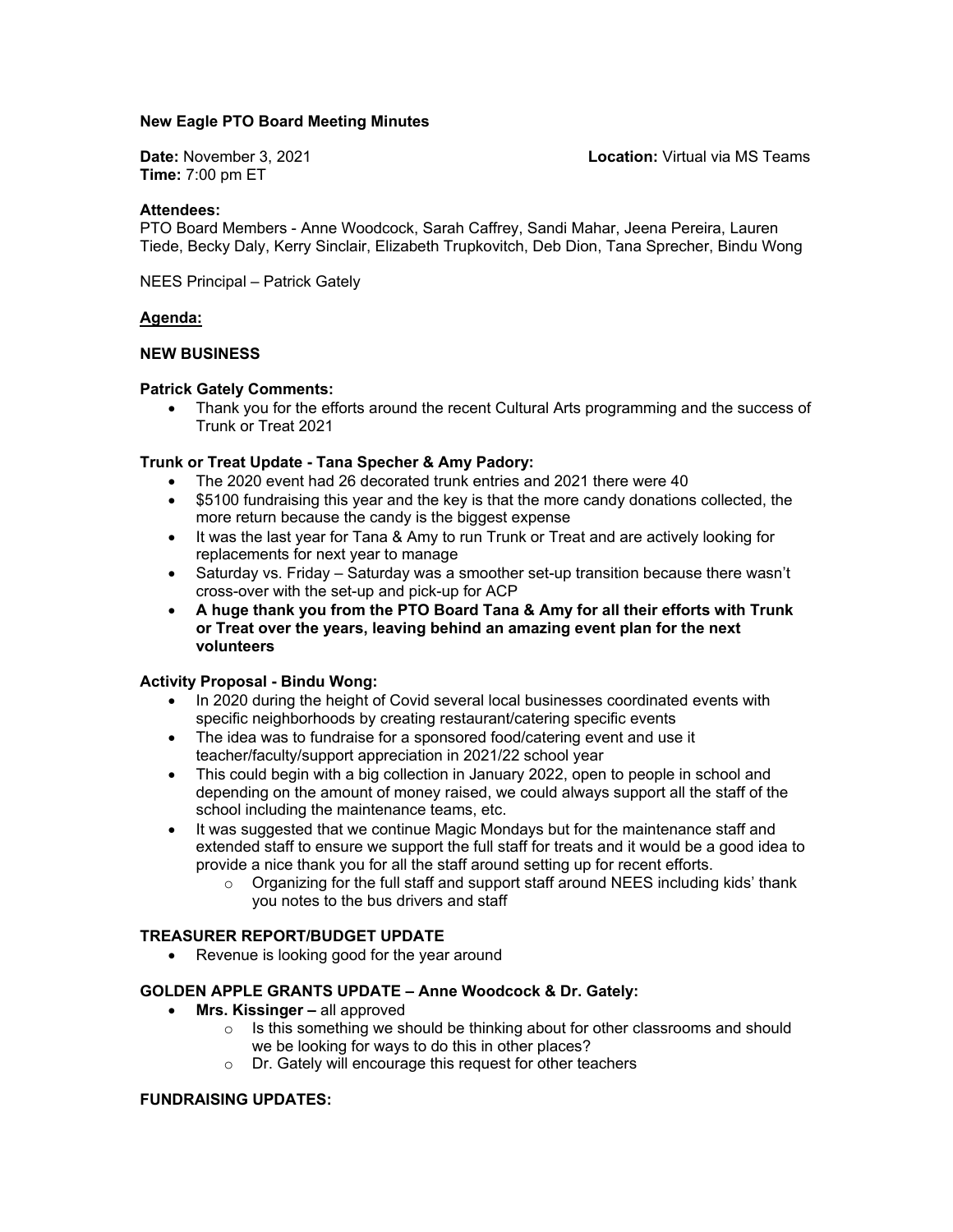## **New Eagle PTO Board Meeting Minutes**

**Time:** 7:00 pm ET

**Date:** November 3, 2021 **Location:** Virtual via MS Teams

### **Attendees:**

PTO Board Members - Anne Woodcock, Sarah Caffrey, Sandi Mahar, Jeena Pereira, Lauren Tiede, Becky Daly, Kerry Sinclair, Elizabeth Trupkovitch, Deb Dion, Tana Sprecher, Bindu Wong

NEES Principal – Patrick Gately

### **Agenda:**

### **NEW BUSINESS**

### **Patrick Gately Comments:**

 Thank you for the efforts around the recent Cultural Arts programming and the success of Trunk or Treat 2021

## **Trunk or Treat Update - Tana Specher & Amy Padory:**

- The 2020 event had 26 decorated trunk entries and 2021 there were 40
- \$5100 fundraising this year and the key is that the more candy donations collected, the more return because the candy is the biggest expense
- It was the last year for Tana & Amy to run Trunk or Treat and are actively looking for replacements for next year to manage
- Saturday vs. Friday Saturday was a smoother set-up transition because there wasn't cross-over with the set-up and pick-up for ACP
- **A huge thank you from the PTO Board Tana & Amy for all their efforts with Trunk or Treat over the years, leaving behind an amazing event plan for the next volunteers**

## **Activity Proposal - Bindu Wong:**

- In 2020 during the height of Covid several local businesses coordinated events with specific neighborhoods by creating restaurant/catering specific events
- The idea was to fundraise for a sponsored food/catering event and use it teacher/faculty/support appreciation in 2021/22 school year
- This could begin with a big collection in January 2022, open to people in school and depending on the amount of money raised, we could always support all the staff of the school including the maintenance teams, etc.
- It was suggested that we continue Magic Mondays but for the maintenance staff and extended staff to ensure we support the full staff for treats and it would be a good idea to provide a nice thank you for all the staff around setting up for recent efforts.
	- $\circ$  Organizing for the full staff and support staff around NEES including kids' thank you notes to the bus drivers and staff

## **TREASURER REPORT/BUDGET UPDATE**

• Revenue is looking good for the year around

#### **GOLDEN APPLE GRANTS UPDATE – Anne Woodcock & Dr. Gately:**

- **Mrs. Kissinger** all approved
	- o Is this something we should be thinking about for other classrooms and should we be looking for ways to do this in other places?
	- o Dr. Gately will encourage this request for other teachers

## **FUNDRAISING UPDATES:**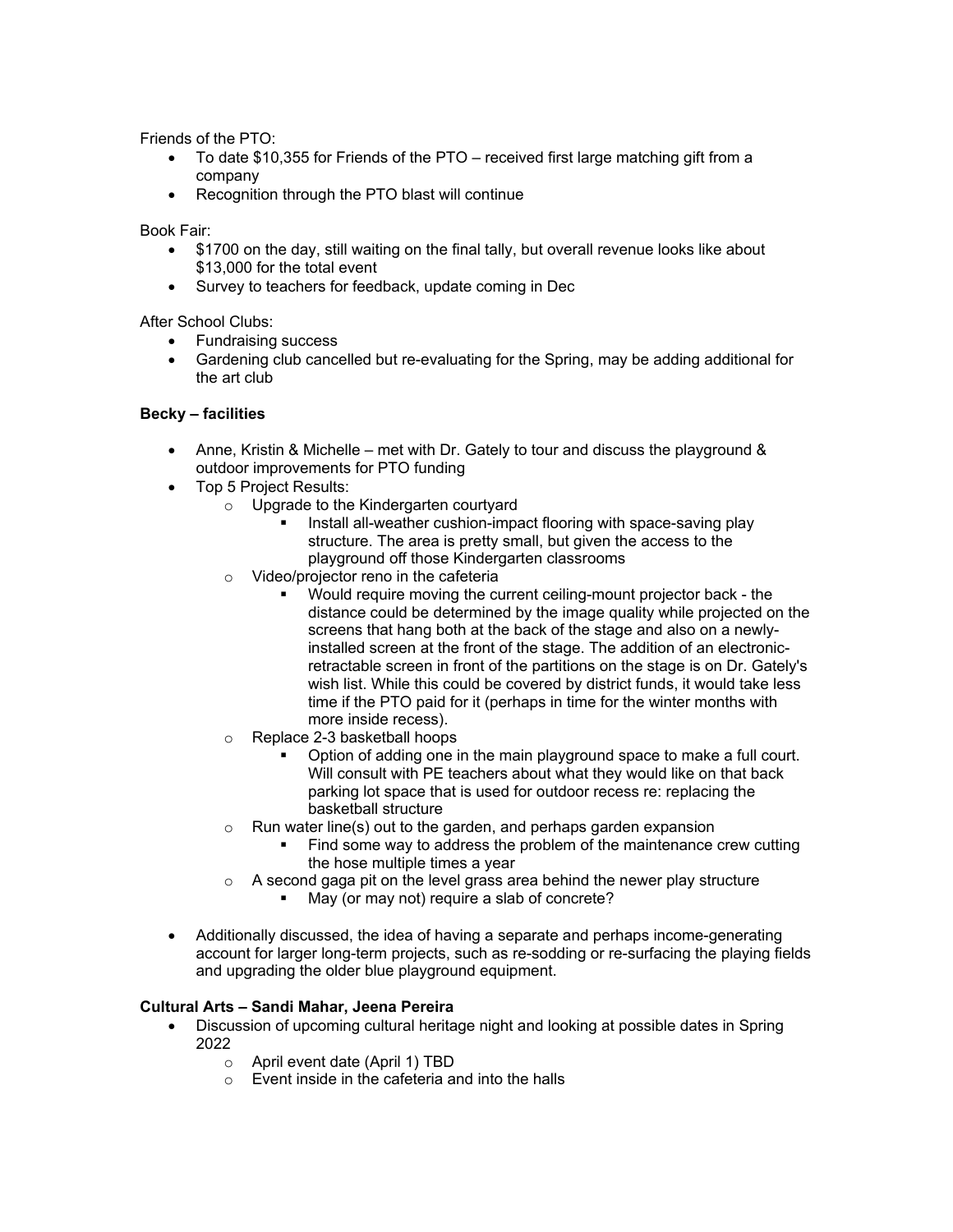Friends of the PTO:

- To date \$10,355 for Friends of the PTO received first large matching gift from a company
- Recognition through the PTO blast will continue

Book Fair:

- \$1700 on the day, still waiting on the final tally, but overall revenue looks like about \$13,000 for the total event
- Survey to teachers for feedback, update coming in Dec

After School Clubs:

- Fundraising success
- Gardening club cancelled but re-evaluating for the Spring, may be adding additional for the art club

## **Becky – facilities**

- Anne, Kristin & Michelle met with Dr. Gately to tour and discuss the playground & outdoor improvements for PTO funding
- Top 5 Project Results:
	- o Upgrade to the Kindergarten courtyard
		- Install all-weather cushion-impact flooring with space-saving play structure. The area is pretty small, but given the access to the playground off those Kindergarten classrooms
	- o Video/projector reno in the cafeteria
		- Would require moving the current ceiling-mount projector back the distance could be determined by the image quality while projected on the screens that hang both at the back of the stage and also on a newlyinstalled screen at the front of the stage. The addition of an electronicretractable screen in front of the partitions on the stage is on Dr. Gately's wish list. While this could be covered by district funds, it would take less time if the PTO paid for it (perhaps in time for the winter months with more inside recess).
	- o Replace 2-3 basketball hoops
		- Option of adding one in the main playground space to make a full court. Will consult with PE teachers about what they would like on that back parking lot space that is used for outdoor recess re: replacing the basketball structure
	- $\circ$  Run water line(s) out to the garden, and perhaps garden expansion
		- Find some way to address the problem of the maintenance crew cutting the hose multiple times a year
	- $\circ$  A second gaga pit on the level grass area behind the newer play structure
		- May (or may not) require a slab of concrete?
- Additionally discussed, the idea of having a separate and perhaps income-generating account for larger long-term projects, such as re-sodding or re-surfacing the playing fields and upgrading the older blue playground equipment.

# **Cultural Arts – Sandi Mahar, Jeena Pereira**

- Discussion of upcoming cultural heritage night and looking at possible dates in Spring 2022
	- o April event date (April 1) TBD
	- o Event inside in the cafeteria and into the halls